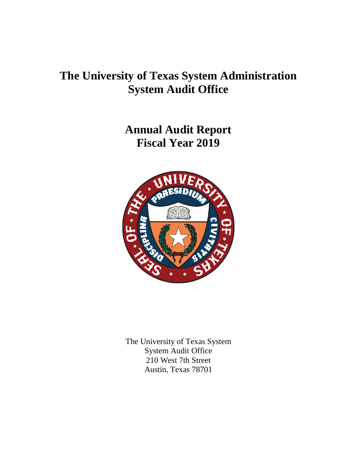# **The University of Texas System Administration System Audit Office**

**Annual Audit Report Fiscal Year 2019**



The University of Texas System System Audit Office 210 West 7th Street Austin, Texas 78701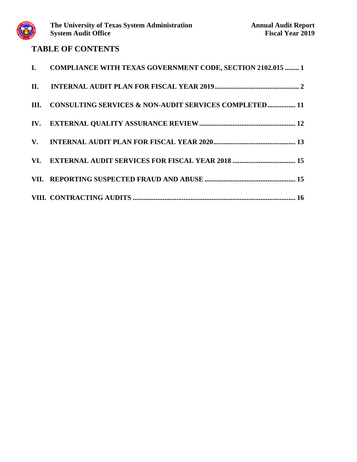

# **TABLE OF CONTENTS**

| I. COMPLIANCE WITH TEXAS GOVERNMENT CODE, SECTION 2102.015  1 |
|---------------------------------------------------------------|
|                                                               |
| III. CONSULTING SERVICES & NON-AUDIT SERVICES COMPLETED 11    |
|                                                               |
|                                                               |
|                                                               |
|                                                               |
|                                                               |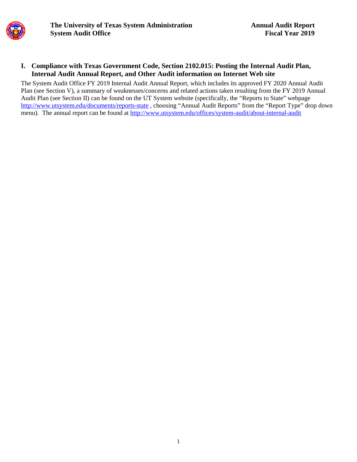

#### **I. Compliance with Texas Government Code, Section 2102.015: Posting the Internal Audit Plan, Internal Audit Annual Report, and Other Audit information on Internet Web site**

The System Audit Office FY 2019 Internal Audit Annual Report, which includes its approved FY 2020 Annual Audit Plan (see Section V), a summary of weaknesses/concerns and related actions taken resulting from the FY 2019 Annual Audit Plan (see Section II) can be found on the UT System website (specifically, the "Reports to State" webpage <http://www.utsystem.edu/documents/reports-state> , choosing "Annual Audit Reports" from the "Report Type" drop down menu). The annual report can be found at<http://www.utsystem.edu/offices/system-audit/about-internal-audit>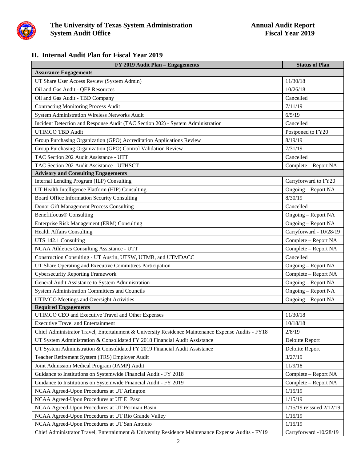

### **II. Internal Audit Plan for Fiscal Year 2019**

| FY 2019 Audit Plan - Engagements                                                                   | <b>Status of Plan</b>    |  |  |
|----------------------------------------------------------------------------------------------------|--------------------------|--|--|
| <b>Assurance Engagements</b>                                                                       |                          |  |  |
| UT Share User Access Review (System Admin)                                                         | 11/30/18                 |  |  |
| Oil and Gas Audit - QEP Resources                                                                  | 10/26/18                 |  |  |
| Oil and Gas Audit - TBD Company                                                                    | Cancelled                |  |  |
| <b>Contracting Monitoring Process Audit</b>                                                        | 7/11/19                  |  |  |
| System Administration Wireless Networks Audit                                                      | 6/5/19                   |  |  |
| Incident Detection and Response Audit (TAC Section 202) - System Administration                    | Cancelled                |  |  |
| <b>UTIMCO TBD Audit</b>                                                                            | Postponed to FY20        |  |  |
| Group Purchasing Organization (GPO) Accreditation Applications Review                              | 8/19/19                  |  |  |
| Group Purchasing Organization (GPO) Control Validation Review                                      | 7/31/19                  |  |  |
| TAC Section 202 Audit Assistance - UTT                                                             | Cancelled                |  |  |
| TAC Section 202 Audit Assistance - UTHSCT                                                          | Complete - Report NA     |  |  |
| <b>Advisory and Consulting Engagements</b>                                                         |                          |  |  |
| Internal Lending Program (ILP) Consulting                                                          | Carryforward to FY20     |  |  |
| UT Health Intelligence Platform (HIP) Consulting                                                   | Ongoing - Report NA      |  |  |
| Board Office Information Security Consulting                                                       | 8/30/19                  |  |  |
| Donor Gift Management Process Consulting                                                           | Cancelled                |  |  |
| <b>Benefitfocus® Consulting</b>                                                                    | Ongoing - Report NA      |  |  |
| Enterprise Risk Management (ERM) Consulting                                                        | Ongoing - Report NA      |  |  |
| <b>Health Affairs Consulting</b>                                                                   | Carryforward - 10/28/19  |  |  |
| UTS 142.1 Consulting                                                                               | Complete - Report NA     |  |  |
| NCAA Athletics Consulting Assistance - UTT                                                         | Complete - Report NA     |  |  |
| Construction Consulting - UT Austin, UTSW, UTMB, and UTMDACC                                       | Cancelled                |  |  |
| UT Share Operating and Executive Committees Participation                                          | Ongoing – Report NA      |  |  |
| <b>Cybersecurity Reporting Framework</b>                                                           | Complete - Report NA     |  |  |
| General Audit Assistance to System Administration                                                  | Ongoing - Report NA      |  |  |
| System Administration Committees and Councils                                                      | Ongoing - Report NA      |  |  |
| UTIMCO Meetings and Oversight Activities                                                           | Ongoing - Report NA      |  |  |
| <b>Required Engagements</b>                                                                        |                          |  |  |
| UTIMCO CEO and Executive Travel and Other Expenses                                                 | 11/30/18                 |  |  |
| <b>Executive Travel and Entertainment</b>                                                          | 10/18/18                 |  |  |
| Chief Administrator Travel, Entertainment & University Residence Maintenance Expense Audits - FY18 | 2/8/19                   |  |  |
| UT System Administration & Consolidated FY 2018 Financial Audit Assistance                         | Deloitte Report          |  |  |
| UT System Administration & Consolidated FY 2019 Financial Audit Assistance                         | Deloitte Report          |  |  |
| Teacher Retirement System (TRS) Employer Audit                                                     | 3/27/19                  |  |  |
| Joint Admission Medical Program (JAMP) Audit                                                       | 11/9/18                  |  |  |
| Guidance to Institutions on Systemwide Financial Audit - FY 2018                                   | Complete – Report NA     |  |  |
| Guidance to Institutions on Systemwide Financial Audit - FY 2019                                   | Complete - Report NA     |  |  |
| NCAA Agreed-Upon Procedures at UT Arlington                                                        | 1/15/19                  |  |  |
| NCAA Agreed-Upon Procedures at UT El Paso                                                          | 1/15/19                  |  |  |
| NCAA Agreed-Upon Procedures at UT Permian Basin                                                    | 1/15/19 reissued 2/12/19 |  |  |
| NCAA Agreed-Upon Procedures at UT Rio Grande Valley                                                | 1/15/19                  |  |  |
| NCAA Agreed-Upon Procedures at UT San Antonio                                                      | 1/15/19                  |  |  |
| Chief Administrator Travel, Entertainment & University Residence Maintenance Expense Audits - FY19 | Carryforward -10/28/19   |  |  |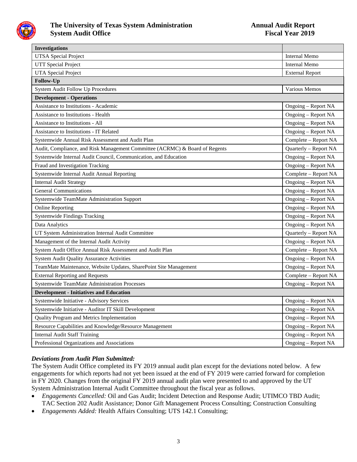

| <b>Investigations</b>                                                       |                        |  |  |  |
|-----------------------------------------------------------------------------|------------------------|--|--|--|
| <b>UTSA</b> Special Project                                                 | <b>Internal Memo</b>   |  |  |  |
| <b>UTT</b> Special Project                                                  | <b>Internal Memo</b>   |  |  |  |
| <b>UTA Special Project</b>                                                  | <b>External Report</b> |  |  |  |
| Follow-Up                                                                   |                        |  |  |  |
| System Audit Follow Up Procedures                                           | Various Memos          |  |  |  |
| <b>Development - Operations</b>                                             |                        |  |  |  |
| <b>Assistance to Institutions - Academic</b>                                | Ongoing - Report NA    |  |  |  |
| <b>Assistance to Institutions - Health</b>                                  | Ongoing - Report NA    |  |  |  |
| <b>Assistance to Institutions - All</b>                                     | Ongoing - Report NA    |  |  |  |
| <b>Assistance to Institutions - IT Related</b>                              | Ongoing – Report NA    |  |  |  |
| Systemwide Annual Risk Assessment and Audit Plan                            | Complete - Report NA   |  |  |  |
| Audit, Compliance, and Risk Management Committee (ACRMC) & Board of Regents | Quarterly - Report NA  |  |  |  |
| Systemwide Internal Audit Council, Communication, and Education             | Ongoing - Report NA    |  |  |  |
| Fraud and Investigation Tracking                                            | Ongoing - Report NA    |  |  |  |
| Systemwide Internal Audit Annual Reporting                                  | Complete - Report NA   |  |  |  |
| <b>Internal Audit Strategy</b>                                              | Ongoing - Report NA    |  |  |  |
| <b>General Communications</b>                                               | Ongoing - Report NA    |  |  |  |
| Systemwide TeamMate Administration Support                                  | Ongoing - Report NA    |  |  |  |
| <b>Online Reporting</b>                                                     | Ongoing - Report NA    |  |  |  |
| <b>Systemwide Findings Tracking</b>                                         | Ongoing - Report NA    |  |  |  |
| Data Analytics                                                              | Ongoing - Report NA    |  |  |  |
| UT System Administration Internal Audit Committee                           | Quarterly - Report NA  |  |  |  |
| Management of the Internal Audit Activity                                   | Ongoing - Report NA    |  |  |  |
| System Audit Office Annual Risk Assessment and Audit Plan                   | Complete - Report NA   |  |  |  |
| System Audit Quality Assurance Activities                                   | Ongoing - Report NA    |  |  |  |
| TeamMate Maintenance, Website Updates, SharePoint Site Management           | Ongoing - Report NA    |  |  |  |
| <b>External Reporting and Requests</b>                                      | Complete - Report NA   |  |  |  |
| Systemwide TeamMate Administration Processes                                | Ongoing - Report NA    |  |  |  |
| <b>Development - Initiatives and Education</b>                              |                        |  |  |  |
| Systemwide Initiative - Advisory Services                                   | Ongoing - Report NA    |  |  |  |
| Systemwide Initiative - Auditor IT Skill Development                        | Ongoing - Report NA    |  |  |  |
| Quality Program and Metrics Implementation                                  | Ongoing - Report NA    |  |  |  |
| Resource Capabilities and Knowledge/Resource Management                     | Ongoing - Report NA    |  |  |  |
| <b>Internal Audit Staff Training</b>                                        | Ongoing - Report NA    |  |  |  |
| Professional Organizations and Associations                                 | Ongoing - Report NA    |  |  |  |

#### *Deviations from Audit Plan Submitted:*

The System Audit Office completed its FY 2019 annual audit plan except for the deviations noted below. A few engagements for which reports had not yet been issued at the end of FY 2019 were carried forward for completion in FY 2020. Changes from the original FY 2019 annual audit plan were presented to and approved by the UT System Administration Internal Audit Committee throughout the fiscal year as follows.

- *Engagements Cancelled:* Oil and Gas Audit; Incident Detection and Response Audit; UTIMCO TBD Audit; TAC Section 202 Audit Assistance; Donor Gift Management Process Consulting; Construction Consulting
- *Engagements Added:* Health Affairs Consulting; UTS 142.1 Consulting;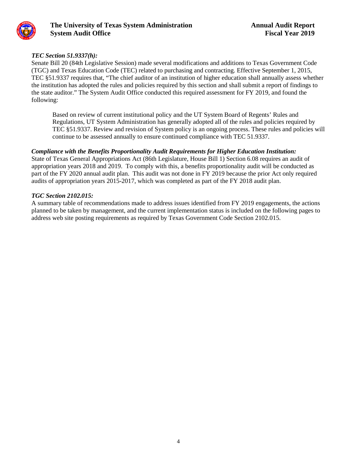

#### *TEC Section 51.9337(h):*

Senate Bill 20 (84th Legislative Session) made several modifications and additions to Texas Government Code (TGC) and Texas Education Code (TEC) related to purchasing and contracting. Effective September 1, 2015, TEC §51.9337 requires that, "The chief auditor of an institution of higher education shall annually assess whether the institution has adopted the rules and policies required by this section and shall submit a report of findings to the state auditor." The System Audit Office conducted this required assessment for FY 2019, and found the following:

Based on review of current institutional policy and the UT System Board of Regents' Rules and Regulations, UT System Administration has generally adopted all of the rules and policies required by TEC §51.9337. Review and revision of System policy is an ongoing process. These rules and policies will continue to be assessed annually to ensure continued compliance with TEC 51.9337.

#### *Compliance with the Benefits Proportionality Audit Requirements for Higher Education Institution:*

State of Texas General Appropriations Act (86th Legislature, House Bill 1) Section 6.08 requires an audit of appropriation years 2018 and 2019. To comply with this, a benefits proportionality audit will be conducted as part of the FY 2020 annual audit plan. This audit was not done in FY 2019 because the prior Act only required audits of appropriation years 2015-2017, which was completed as part of the FY 2018 audit plan.

#### *TGC Section 2102.015:*

A summary table of recommendations made to address issues identified from FY 2019 engagements, the actions planned to be taken by management, and the current implementation status is included on the following pages to address web site posting requirements as required by Texas Government Code Section 2102.015.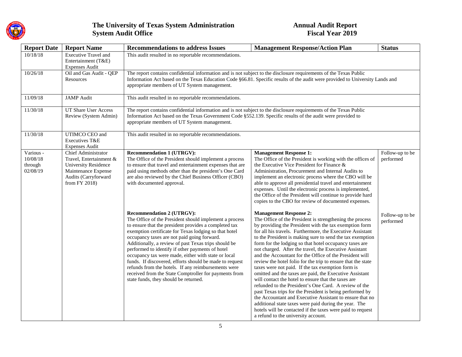

| <b>Report Date</b>                           | <b>Report Name</b>                                                                                                                            | <b>Recommendations to address Issues</b>                                                                                                                                                                                                                                                                                                                                                                                                                                                                                                                                                                                                           | <b>Management Response/Action Plan</b>                                                                                                                                                                                                                                                                                                                                                                                                                                                                                                                                                                                                                                                                                                                                                                                                                                                                                                                                                                                                             | <b>Status</b>                |  |  |
|----------------------------------------------|-----------------------------------------------------------------------------------------------------------------------------------------------|----------------------------------------------------------------------------------------------------------------------------------------------------------------------------------------------------------------------------------------------------------------------------------------------------------------------------------------------------------------------------------------------------------------------------------------------------------------------------------------------------------------------------------------------------------------------------------------------------------------------------------------------------|----------------------------------------------------------------------------------------------------------------------------------------------------------------------------------------------------------------------------------------------------------------------------------------------------------------------------------------------------------------------------------------------------------------------------------------------------------------------------------------------------------------------------------------------------------------------------------------------------------------------------------------------------------------------------------------------------------------------------------------------------------------------------------------------------------------------------------------------------------------------------------------------------------------------------------------------------------------------------------------------------------------------------------------------------|------------------------------|--|--|
| 10/18/18                                     | <b>Executive Travel and</b><br>Entertainment (T&E)<br><b>Expenses Audit</b>                                                                   | This audit resulted in no reportable recommendations.                                                                                                                                                                                                                                                                                                                                                                                                                                                                                                                                                                                              |                                                                                                                                                                                                                                                                                                                                                                                                                                                                                                                                                                                                                                                                                                                                                                                                                                                                                                                                                                                                                                                    |                              |  |  |
| 10/26/18                                     | Oil and Gas Audit - QEP<br>Resources                                                                                                          | The report contains confidential information and is not subject to the disclosure requirements of the Texas Public<br>Information Act based on the Texas Education Code §66.81. Specific results of the audit were provided to University Lands and<br>appropriate members of UT System management.                                                                                                                                                                                                                                                                                                                                                |                                                                                                                                                                                                                                                                                                                                                                                                                                                                                                                                                                                                                                                                                                                                                                                                                                                                                                                                                                                                                                                    |                              |  |  |
| 11/09/18                                     | <b>JAMP</b> Audit                                                                                                                             | This audit resulted in no reportable recommendations.                                                                                                                                                                                                                                                                                                                                                                                                                                                                                                                                                                                              |                                                                                                                                                                                                                                                                                                                                                                                                                                                                                                                                                                                                                                                                                                                                                                                                                                                                                                                                                                                                                                                    |                              |  |  |
| 11/30/18                                     | <b>UT Share User Access</b><br>Review (System Admin)                                                                                          | The report contains confidential information and is not subject to the disclosure requirements of the Texas Public<br>Information Act based on the Texas Government Code §552.139. Specific results of the audit were provided to<br>appropriate members of UT System management.                                                                                                                                                                                                                                                                                                                                                                  |                                                                                                                                                                                                                                                                                                                                                                                                                                                                                                                                                                                                                                                                                                                                                                                                                                                                                                                                                                                                                                                    |                              |  |  |
| 11/30/18                                     | UTIMCO CEO and<br>Executives T&E<br><b>Expenses Audit</b>                                                                                     | This audit resulted in no reportable recommendations.                                                                                                                                                                                                                                                                                                                                                                                                                                                                                                                                                                                              |                                                                                                                                                                                                                                                                                                                                                                                                                                                                                                                                                                                                                                                                                                                                                                                                                                                                                                                                                                                                                                                    |                              |  |  |
| Various -<br>10/08/18<br>through<br>02/08/19 | Chief Administrator<br>Travel, Entertainment &<br><b>University Residence</b><br>Maintenance Expense<br>Audits (Carryforward<br>from FY 2018) | <b>Recommendation 1 (UTRGV):</b><br>The Office of the President should implement a process<br>to ensure that travel and entertainment expenses that are<br>paid using methods other than the president's One Card<br>are also reviewed by the Chief Business Officer (CBO)<br>with documented approval.                                                                                                                                                                                                                                                                                                                                            | <b>Management Response 1:</b><br>The Office of the President is working with the offices of<br>the Executive Vice President for Finance &<br>Administration, Procurement and Internal Audits to<br>implement an electronic process where the CBO will be<br>able to approve all presidential travel and entertainment<br>expenses. Until the electronic process is implemented,<br>the Office of the President will continue to provide hard<br>copies to the CBO for review of documented expenses.                                                                                                                                                                                                                                                                                                                                                                                                                                                                                                                                               | Follow-up to be<br>performed |  |  |
|                                              |                                                                                                                                               | <b>Recommendation 2 (UTRGV):</b><br>The Office of the President should implement a process<br>to ensure that the president provides a completed tax<br>exemption certificate for Texas lodging so that hotel<br>occupancy taxes are not paid going forward.<br>Additionally, a review of past Texas trips should be<br>performed to identify if other payments of hotel<br>occupancy tax were made, either with state or local<br>funds. If discovered, efforts should be made to request<br>refunds from the hotels. If any reimbursements were<br>received from the State Comptroller for payments from<br>state funds, they should be returned. | <b>Management Response 2:</b><br>The Office of the President is strengthening the process<br>by providing the President with the tax exemption form<br>for all his travels. Furthermore, the Executive Assistant<br>to the President is making sure to send the tax exemption<br>form for the lodging so that hotel occupancy taxes are<br>not charged. After the travel, the Executive Assistant<br>and the Accountant for the Office of the President will<br>review the hotel folio for the trip to ensure that the state<br>taxes were not paid. If the tax exemption form is<br>omitted and the taxes are paid, the Executive Assistant<br>will contact the hotel to ensure that the taxes are<br>refunded to the President's One Card. A review of the<br>past Texas trips for the President is being performed by<br>the Accountant and Executive Assistant to ensure that no<br>additional state taxes were paid during the year. The<br>hotels will be contacted if the taxes were paid to request<br>a refund to the university account. | Follow-up to be<br>performed |  |  |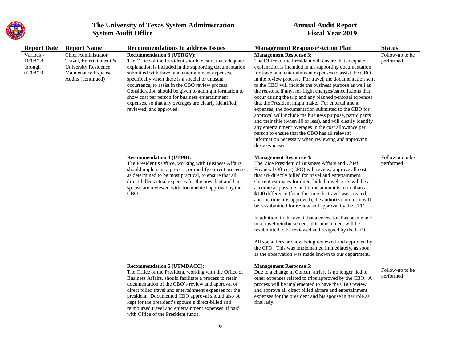

| <b>Report Date</b> | <b>Report Name</b>          | <b>Recommendations to address Issues</b>                                                                     | <b>Management Response/Action Plan</b>                                                                                | <b>Status</b>                |
|--------------------|-----------------------------|--------------------------------------------------------------------------------------------------------------|-----------------------------------------------------------------------------------------------------------------------|------------------------------|
| Various -          | <b>Chief Administrator</b>  | <b>Recommendation 3 (UTRGV):</b>                                                                             | <b>Management Response 3:</b>                                                                                         | Follow-up to be              |
| 10/08/18           | Travel, Entertainment &     | The Office of the President should ensure that adequate                                                      | The Office of the President will ensure that adequate                                                                 | performed                    |
| through            | <b>University Residence</b> | explanation is included in the supporting documentation                                                      | explanation is included in all supporting documentation                                                               |                              |
| 02/08/19           | Maintenance Expense         | submitted with travel and entertainment expenses,                                                            | for travel and entertainment expenses to assist the CBO                                                               |                              |
|                    | Audits (continued)          | specifically when there is a special or unusual                                                              | in the review process. For travel, the documentation sent                                                             |                              |
|                    |                             | occurrence, to assist in the CBO review process.                                                             | to the CBO will include the business purpose as well as                                                               |                              |
|                    |                             | Consideration should be given to adding information to<br>show cost per person for business entertainment    | the reasons, if any, for flight changes/cancellations that<br>occur during the trip and any planned personal expenses |                              |
|                    |                             | expenses, so that any overages are clearly identified,                                                       | that the President might make. For entertainment                                                                      |                              |
|                    |                             | reviewed, and approved.                                                                                      | expenses, the documentation submitted to the CBO for                                                                  |                              |
|                    |                             |                                                                                                              | approval will include the business purpose, participants                                                              |                              |
|                    |                             |                                                                                                              | and their title (when 10 or less), and will clearly identify                                                          |                              |
|                    |                             |                                                                                                              | any entertainment overages in the cost allowance per                                                                  |                              |
|                    |                             |                                                                                                              | person to ensure that the CBO has all relevant                                                                        |                              |
|                    |                             |                                                                                                              | information necessary when reviewing and approving                                                                    |                              |
|                    |                             |                                                                                                              | these expenses.                                                                                                       |                              |
|                    |                             | <b>Recommendation 4 (UTPB):</b>                                                                              | <b>Management Response 4:</b>                                                                                         | Follow-up to be              |
|                    |                             | The President's Office, working with Business Affairs,                                                       | The Vice President of Business Affairs and Chief                                                                      | performed                    |
|                    |                             | should implement a process, or modify current processes,                                                     | Financial Officer (CFO) will review/ approve all costs                                                                |                              |
|                    |                             | as determined to be most practical, to ensure that all                                                       | that are directly billed for travel and entertainment.                                                                |                              |
|                    |                             | direct-billed actual expenses for the president and her                                                      | Current estimates for direct billed travel costs will be as                                                           |                              |
|                    |                             | spouse are reviewed with documented approval by the<br>CBO.                                                  | accurate as possible, and if the amount is more than a                                                                |                              |
|                    |                             |                                                                                                              | \$100 difference (from the time the travel was created,<br>and the time it is approved), the authorization form will  |                              |
|                    |                             |                                                                                                              | be re-submitted for review and approval by the CFO.                                                                   |                              |
|                    |                             |                                                                                                              |                                                                                                                       |                              |
|                    |                             |                                                                                                              | In addition, in the event that a correction has been made                                                             |                              |
|                    |                             |                                                                                                              | to a travel reimbursement, this amendment will be                                                                     |                              |
|                    |                             |                                                                                                              | resubmitted to be reviewed and resigned by the CFO.                                                                   |                              |
|                    |                             |                                                                                                              | All social fees are now being reviewed and approved by                                                                |                              |
|                    |                             |                                                                                                              | the CFO. This was implemented immediately, as soon                                                                    |                              |
|                    |                             |                                                                                                              | as the observation was made known to our department.                                                                  |                              |
|                    |                             | <b>Recommendation 5 (UTMDACC):</b>                                                                           | <b>Management Response 5:</b>                                                                                         |                              |
|                    |                             | The Office of the President, working with the Office of                                                      | Due to a change in Concur, airfare is no longer tied to                                                               | Follow-up to be<br>performed |
|                    |                             | Business Affairs, should facilitate a process to retain                                                      | other expenses related to trips approved by the CBO. A                                                                |                              |
|                    |                             | documentation of the CBO's review and approval of                                                            | process will be implemented to have the CBO review                                                                    |                              |
|                    |                             | direct billed travel and entertainment expenses for the<br>president. Documented CBO approval should also be | and approve all direct billed airfare and entertainment<br>expenses for the president and his spouse in her role as   |                              |
|                    |                             | kept for the president's spouse's direct-billed and                                                          | first lady.                                                                                                           |                              |
|                    |                             | reimbursed travel and entertainment expenses, if paid                                                        |                                                                                                                       |                              |
|                    |                             | with Office of the President funds.                                                                          |                                                                                                                       |                              |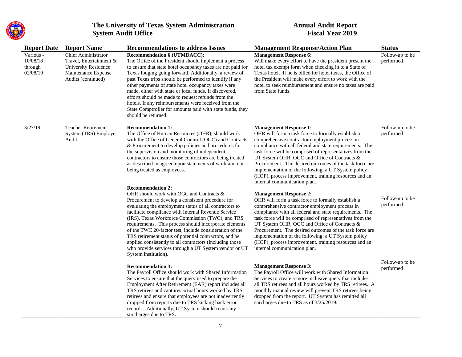

| <b>Report Date</b>                           | <b>Report Name</b>                                                                                                                | <b>Recommendations to address Issues</b>                                                                                                                                                                                                                                                                                                                                                                                                                                                                                                                                                                                   | <b>Management Response/Action Plan</b>                                                                                                                                                                                                                                                                                                                                                                                                                                                                                  | <b>Status</b>                |
|----------------------------------------------|-----------------------------------------------------------------------------------------------------------------------------------|----------------------------------------------------------------------------------------------------------------------------------------------------------------------------------------------------------------------------------------------------------------------------------------------------------------------------------------------------------------------------------------------------------------------------------------------------------------------------------------------------------------------------------------------------------------------------------------------------------------------------|-------------------------------------------------------------------------------------------------------------------------------------------------------------------------------------------------------------------------------------------------------------------------------------------------------------------------------------------------------------------------------------------------------------------------------------------------------------------------------------------------------------------------|------------------------------|
| Various -<br>10/08/18<br>through<br>02/08/19 | <b>Chief Administrator</b><br>Travel, Entertainment &<br><b>University Residence</b><br>Maintenance Expense<br>Audits (continued) | <b>Recommendation 6 (UTMDACC):</b><br>The Office of the President should implement a process<br>to ensure that state hotel occupancy taxes are not paid for<br>Texas lodging going forward. Additionally, a review of<br>past Texas trips should be performed to identify if any<br>other payments of state hotel occupancy taxes were<br>made, either with state or local funds. If discovered,<br>efforts should be made to request refunds from the<br>hotels. If any reimbursements were received from the<br>State Comptroller for amounts paid with state funds, they<br>should be returned.                         | <b>Management Response 6:</b><br>Will make every effort to have the president present the<br>hotel tax exempt form when checking in to a State of<br>Texas hotel. If he is billed for hotel taxes, the Office of<br>the President will make every effort to work with the<br>hotel to seek reimbursement and ensure no taxes are paid<br>from State funds.                                                                                                                                                              | Follow-up to be<br>performed |
| 3/27/19                                      | <b>Teacher Retirement</b><br>System (TRS) Employer<br>Audit                                                                       | <b>Recommendation 1:</b><br>The Office of Human Resources (OHR), should work<br>with the Office of General Counsel (OGC) and Contracts<br>& Procurement to develop policies and procedures for<br>the supervision and monitoring of independent<br>contractors to ensure those contractors are being treated<br>as described in agreed upon statements of work and not<br>being treated as employees.                                                                                                                                                                                                                      | <b>Management Response 1:</b><br>OHR will form a task force to formally establish a<br>comprehensive contractor employment process in<br>compliance with all federal and state requirements. The<br>task force will be comprised of representatives from the<br>UT System OHR, OGC and Office of Contracts &<br>Procurement. The desired outcomes of the task force are<br>implementation of the following: a UT System policy<br>(HOP), process improvement, training resources and an<br>internal communication plan. | Follow-up to be<br>performed |
|                                              |                                                                                                                                   | <b>Recommendation 2:</b><br>OHR should work with OGC and Contracts &<br>Procurement to develop a consistent procedure for<br>evaluating the employment status of all contractors to<br>facilitate compliance with Internal Revenue Service<br>(IRS), Texas Workforce Commission (TWC), and TRS<br>requirements. This process should incorporate elements<br>of the TWC 20-factor test, include consideration of the<br>TRS retirement status of potential contractors, and be<br>applied consistently to all contractors (including those<br>who provide services through a UT System vendor or UT<br>System institution). | <b>Management Response 2:</b><br>OHR will form a task force to formally establish a<br>comprehensive contractor employment process in<br>compliance with all federal and state requirements. The<br>task force will be comprised of representatives from the<br>UT System OHR, OGC and Office of Contracts &<br>Procurement. The desired outcomes of the task force are<br>implementation of the following: a UT System policy<br>(HOP), process improvement, training resources and an<br>internal communication plan. | Follow-up to be<br>performed |
|                                              |                                                                                                                                   | <b>Recommendation 3:</b><br>The Payroll Office should work with Shared Information<br>Services to ensure that the query used to prepare the<br>Employment After Retirement (EAR) report includes all<br>TRS retirees and captures actual hours worked by TRS<br>retirees and ensure that employees are not inadvertently<br>dropped from reports due to TRS kicking back error<br>records. Additionally, UT System should remit any<br>surcharges due to TRS.                                                                                                                                                              | <b>Management Response 3:</b><br>The Payroll Office will work with Shared Information<br>Services to create a more inclusive query that includes<br>all TRS retirees and all hours worked by TRS retirees. A<br>monthly manual review will prevent TRS retirees being<br>dropped from the report. UT System has remitted all<br>surcharges due to TRS as of 3/25/2019.                                                                                                                                                  | Follow-up to be<br>performed |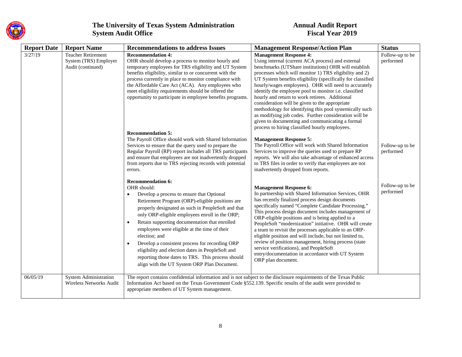

| <b>Report Date</b> | <b>Report Name</b>                                                      | <b>Recommendations to address Issues</b>                                                                                                                                                                                                                                                                                                                                                                                                                                                                                                                                                              | <b>Management Response/Action Plan</b>                                                                                                                                                                                                                                                                                                                                                                                                                                                                                                                                                                                                                                                                            | <b>Status</b>                |
|--------------------|-------------------------------------------------------------------------|-------------------------------------------------------------------------------------------------------------------------------------------------------------------------------------------------------------------------------------------------------------------------------------------------------------------------------------------------------------------------------------------------------------------------------------------------------------------------------------------------------------------------------------------------------------------------------------------------------|-------------------------------------------------------------------------------------------------------------------------------------------------------------------------------------------------------------------------------------------------------------------------------------------------------------------------------------------------------------------------------------------------------------------------------------------------------------------------------------------------------------------------------------------------------------------------------------------------------------------------------------------------------------------------------------------------------------------|------------------------------|
| 3/27/19            | <b>Teacher Retirement</b><br>System (TRS) Employer<br>Audit (continued) | <b>Recommendation 4:</b><br>OHR should develop a process to monitor hourly and<br>temporary employees for TRS eligibility and UT System<br>benefits eligibility, similar to or concurrent with the<br>process currently in place to monitor compliance with<br>the Affordable Care Act (ACA). Any employees who<br>meet eligibility requirements should be offered the<br>opportunity to participate in employee benefits programs.                                                                                                                                                                   | <b>Management Response 4:</b><br>Using internal (current ACA process) and external<br>benchmarks (UTShare institutions) OHR will establish<br>processes which will monitor 1) TRS eligibility and 2)<br>UT System benefits eligibility (specifically for classified<br>hourly/wages employees). OHR will need to accurately<br>identify the employee pool to monitor i.e. classified<br>hourly and return to work retirees. Additional<br>consideration will be given to the appropriate<br>methodology for identifying this pool systemically such<br>as modifying job codes. Further consideration will be<br>given to documenting and communicating a formal<br>process to hiring classified hourly employees. | Follow-up to be<br>performed |
|                    |                                                                         | <b>Recommendation 5:</b><br>The Payroll Office should work with Shared Information<br>Services to ensure that the query used to prepare the<br>Regular Payroll (RP) report includes all TRS participants<br>and ensure that employees are not inadvertently dropped<br>from reports due to TRS rejecting records with potential<br>errors.                                                                                                                                                                                                                                                            | <b>Management Response 5:</b><br>The Payroll Office will work with Shared Information<br>Services to improve the queries used to prepare RP<br>reports. We will also take advantage of enhanced access<br>to TRS files in order to verify that employees are not<br>inadvertently dropped from reports.                                                                                                                                                                                                                                                                                                                                                                                                           | Follow-up to be<br>performed |
|                    |                                                                         | <b>Recommendation 6:</b><br>OHR should:<br>Develop a process to ensure that Optional<br>Retirement Program (ORP)-eligible positions are<br>properly designated as such in PeopleSoft and that<br>only ORP-eligible employees enroll in the ORP;<br>Retain supporting documentation that enrolled<br>$\bullet$<br>employees were eligible at the time of their<br>election; and<br>Develop a consistent process for recording ORP<br>$\bullet$<br>eligibility and election dates in PeopleSoft and<br>reporting those dates to TRS. This process should<br>align with the UT System ORP Plan Document. | <b>Management Response 6:</b><br>In partnership with Shared Information Services, OHR<br>has recently finalized process design documents<br>specifically named "Complete Candidate Processing."<br>This process design document includes management of<br>ORP-eligible positions and is being applied to a<br>PeopleSoft "modernization" initiative. OHR will create<br>a team to revisit the processes applicable to an ORP-<br>eligible position and will include, but not limited to,<br>review of position management, hiring process (state<br>service verifications), and PeopleSoft<br>entry/documentation in accordance with UT System<br>ORP plan document.                                              | Follow-up to be<br>performed |
| 06/05/19           | <b>System Administration</b><br><b>Wireless Networks Audit</b>          | The report contains confidential information and is not subject to the disclosure requirements of the Texas Public<br>Information Act based on the Texas Government Code §552.139. Specific results of the audit were provided to<br>appropriate members of UT System management.                                                                                                                                                                                                                                                                                                                     |                                                                                                                                                                                                                                                                                                                                                                                                                                                                                                                                                                                                                                                                                                                   |                              |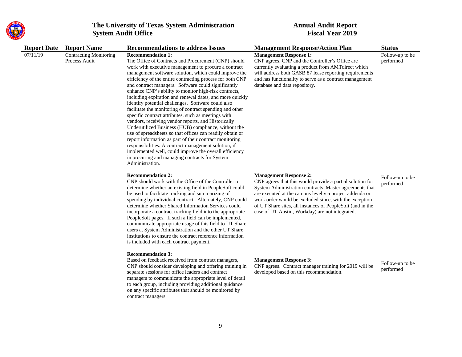

| <b>Report Date</b> | <b>Report Name</b>                      | <b>Recommendations to address Issues</b>                                                                                                                                                                                                                                                                                                                                                                                                                                                                                                                                                                                                                                                                                                                                                                                                                                                                                                                                                                                                          | <b>Management Response/Action Plan</b>                                                                                                                                                                                                                                                                                                                                                      | <b>Status</b>                |
|--------------------|-----------------------------------------|---------------------------------------------------------------------------------------------------------------------------------------------------------------------------------------------------------------------------------------------------------------------------------------------------------------------------------------------------------------------------------------------------------------------------------------------------------------------------------------------------------------------------------------------------------------------------------------------------------------------------------------------------------------------------------------------------------------------------------------------------------------------------------------------------------------------------------------------------------------------------------------------------------------------------------------------------------------------------------------------------------------------------------------------------|---------------------------------------------------------------------------------------------------------------------------------------------------------------------------------------------------------------------------------------------------------------------------------------------------------------------------------------------------------------------------------------------|------------------------------|
| 07/11/19           | Contracting Monitoring<br>Process Audit | <b>Recommendation 1:</b><br>The Office of Contracts and Procurement (CNP) should<br>work with executive management to procure a contract<br>management software solution, which could improve the<br>efficiency of the entire contracting process for both CNP<br>and contract managers. Software could significantly<br>enhance CNP's ability to monitor high-risk contracts,<br>including expiration and renewal dates, and more quickly<br>identify potential challenges. Software could also<br>facilitate the monitoring of contract spending and other<br>specific contract attributes, such as meetings with<br>vendors, receiving vendor reports, and Historically<br>Underutilized Business (HUB) compliance, without the<br>use of spreadsheets so that offices can readily obtain or<br>report information as part of their contract monitoring<br>responsibilities. A contract management solution, if<br>implemented well, could improve the overall efficiency<br>in procuring and managing contracts for System<br>Administration. | <b>Management Response 1:</b><br>CNP agrees. CNP and the Controller's Office are<br>currently evaluating a product from AMTdirect which<br>will address both GASB 87 lease reporting requirements<br>and has functionality to serve as a contract management<br>database and data repository.                                                                                               | Follow-up to be<br>performed |
|                    |                                         | <b>Recommendation 2:</b><br>CNP should work with the Office of the Controller to<br>determine whether an existing field in PeopleSoft could<br>be used to facilitate tracking and summarizing of<br>spending by individual contract. Alternately, CNP could<br>determine whether Shared Information Services could<br>incorporate a contract tracking field into the appropriate<br>PeopleSoft pages. If such a field can be implemented,<br>communicate appropriate usage of this field to UT Share<br>users at System Administration and the other UT Share<br>institutions to ensure the contract reference information<br>is included with each contract payment.                                                                                                                                                                                                                                                                                                                                                                             | <b>Management Response 2:</b><br>CNP agrees that this would provide a partial solution for<br>System Administration contracts. Master agreements that<br>are executed at the campus level via project addenda or<br>work order would be excluded since, with the exception<br>of UT Share sites, all instances of PeopleSoft (and in the<br>case of UT Austin, Workday) are not integrated. | Follow-up to be<br>performed |
|                    |                                         | <b>Recommendation 3:</b><br>Based on feedback received from contract managers,<br>CNP should consider developing and offering training in<br>separate sessions for office leaders and contract<br>managers to communicate the appropriate level of detail<br>to each group, including providing additional guidance<br>on any specific attributes that should be monitored by<br>contract managers.                                                                                                                                                                                                                                                                                                                                                                                                                                                                                                                                                                                                                                               | <b>Management Response 3:</b><br>CNP agrees. Contract manager training for 2019 will be<br>developed based on this recommendation.                                                                                                                                                                                                                                                          | Follow-up to be<br>performed |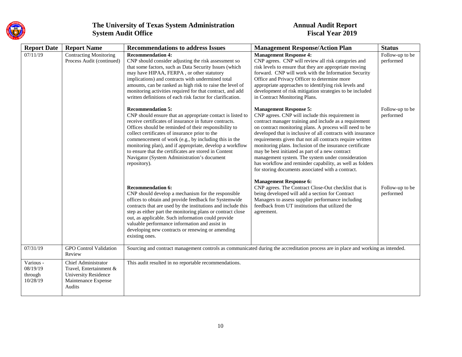

| <b>Report Date</b>                           | <b>Report Name</b>                                                                                      | <b>Recommendations to address Issues</b>                                                                                                                                                                                                                                                                                                                                                                                                                                                                | <b>Management Response/Action Plan</b>                                                                                                                                                                                                                                                                                                                                                                                                                                                                                                                                                                                  | <b>Status</b>                |
|----------------------------------------------|---------------------------------------------------------------------------------------------------------|---------------------------------------------------------------------------------------------------------------------------------------------------------------------------------------------------------------------------------------------------------------------------------------------------------------------------------------------------------------------------------------------------------------------------------------------------------------------------------------------------------|-------------------------------------------------------------------------------------------------------------------------------------------------------------------------------------------------------------------------------------------------------------------------------------------------------------------------------------------------------------------------------------------------------------------------------------------------------------------------------------------------------------------------------------------------------------------------------------------------------------------------|------------------------------|
| 07/11/19                                     | <b>Contracting Monitoring</b><br>Process Audit (continued)                                              | <b>Recommendation 4:</b><br>CNP should consider adjusting the risk assessment so<br>that some factors, such as Data Security Issues (which<br>may have HIPAA, FERPA, or other statutory<br>implications) and contracts with undermined total<br>amounts, can be ranked as high risk to raise the level of<br>monitoring activities required for that contract, and add<br>written definitions of each risk factor for clarification.                                                                    | <b>Management Response 4:</b><br>CNP agrees. CNP will review all risk categories and<br>risk levels to ensure that they are appropriate moving<br>forward. CNP will work with the Information Security<br>Office and Privacy Officer to determine more<br>appropriate approaches to identifying risk levels and<br>development of risk mitigation strategies to be included<br>in Contract Monitoring Plans.                                                                                                                                                                                                            | Follow-up to be<br>performed |
|                                              |                                                                                                         | <b>Recommendation 5:</b><br>CNP should ensure that an appropriate contact is listed to<br>receive certificates of insurance in future contracts.<br>Offices should be reminded of their responsibility to<br>collect certificates of insurance prior to the<br>commencement of work (e.g., by including this in the<br>monitoring plan), and if appropriate, develop a workflow<br>to ensure that the certificates are stored in Content<br>Navigator (System Administration's document<br>repository). | <b>Management Response 5:</b><br>CNP agrees. CNP will include this requirement in<br>contract manager training and include as a requirement<br>on contract monitoring plans. A process will need to be<br>developed that is inclusive of all contracts with insurance<br>requirements given that not all contracts require written<br>monitoring plans. Inclusion of the insurance certificate<br>may be best initiated as part of a new contract<br>management system. The system under consideration<br>has workflow and reminder capability, as well as folders<br>for storing documents associated with a contract. | Follow-up to be<br>performed |
|                                              |                                                                                                         | <b>Recommendation 6:</b><br>CNP should develop a mechanism for the responsible<br>offices to obtain and provide feedback for Systemwide<br>contracts that are used by the institutions and include this<br>step as either part the monitoring plans or contract close<br>out, as applicable. Such information could provide<br>valuable performance information and assist in<br>developing new contracts or renewing or amending<br>existing ones.                                                     | <b>Management Response 6:</b><br>CNP agrees. The Contract Close-Out checklist that is<br>being developed will add a section for Contract<br>Managers to assess supplier performance including<br>feedback from UT institutions that utilized the<br>agreement.                                                                                                                                                                                                                                                                                                                                                          | Follow-up to be<br>performed |
| 07/31/19                                     | <b>GPO</b> Control Validation<br>Review                                                                 |                                                                                                                                                                                                                                                                                                                                                                                                                                                                                                         | Sourcing and contract management controls as communicated during the accreditation process are in place and working as intended.                                                                                                                                                                                                                                                                                                                                                                                                                                                                                        |                              |
| Various -<br>08/19/19<br>through<br>10/28/19 | Chief Administrator<br>Travel, Entertainment &<br>University Residence<br>Maintenance Expense<br>Audits | This audit resulted in no reportable recommendations.                                                                                                                                                                                                                                                                                                                                                                                                                                                   |                                                                                                                                                                                                                                                                                                                                                                                                                                                                                                                                                                                                                         |                              |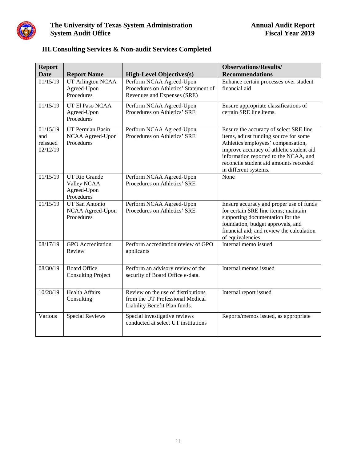

| <b>Report</b>                           |                                                                  |                                                                                                         | <b>Observations/Results/</b>                                                                                                                                                                                                                                                  |
|-----------------------------------------|------------------------------------------------------------------|---------------------------------------------------------------------------------------------------------|-------------------------------------------------------------------------------------------------------------------------------------------------------------------------------------------------------------------------------------------------------------------------------|
| <b>Date</b>                             | <b>Report Name</b>                                               | <b>High-Level Objectives(s)</b>                                                                         | <b>Recommendations</b>                                                                                                                                                                                                                                                        |
| 01/15/19                                | <b>UT Arlington NCAA</b><br>Agreed-Upon<br>Procedures            | Perform NCAA Agreed-Upon<br>Procedures on Athletics' Statement of<br>Revenues and Expenses (SRE)        | Enhance certain processes over student<br>financial aid                                                                                                                                                                                                                       |
| 01/15/19                                | UT El Paso NCAA<br>Agreed-Upon<br>Procedures                     | Perform NCAA Agreed-Upon<br>Procedures on Athletics' SRE                                                | Ensure appropriate classifications of<br>certain SRE line items.                                                                                                                                                                                                              |
| 01/15/19<br>and<br>reissued<br>02/12/19 | UT Permian Basin<br>NCAA Agreed-Upon<br>Procedures               | Perform NCAA Agreed-Upon<br>Procedures on Athletics' SRE                                                | Ensure the accuracy of select SRE line<br>items, adjust funding source for some<br>Athletics employees' compensation,<br>improve accuracy of athletic student aid<br>information reported to the NCAA, and<br>reconcile student aid amounts recorded<br>in different systems. |
| 01/15/19                                | <b>UT Rio Grande</b><br>Valley NCAA<br>Agreed-Upon<br>Procedures | Perform NCAA Agreed-Upon<br>Procedures on Athletics' SRE                                                | None                                                                                                                                                                                                                                                                          |
| 01/15/19                                | UT San Antonio<br>NCAA Agreed-Upon<br>Procedures                 | Perform NCAA Agreed-Upon<br>Procedures on Athletics' SRE                                                | Ensure accuracy and proper use of funds<br>for certain SRE line items; maintain<br>supporting documentation for the<br>foundation, budget approvals, and<br>financial aid; and review the calculation<br>of equivalencies.                                                    |
| 08/17/19                                | <b>GPO</b> Accreditation<br>Review                               | Perform accreditation review of GPO<br>applicants                                                       | Internal memo issued                                                                                                                                                                                                                                                          |
| 08/30/19                                | <b>Board Office</b><br><b>Consulting Project</b>                 | Perform an advisory review of the<br>security of Board Office e-data.                                   | Internal memos issued                                                                                                                                                                                                                                                         |
| 10/28/19                                | <b>Health Affairs</b><br>Consulting                              | Review on the use of distributions<br>from the UT Professional Medical<br>Liability Benefit Plan funds. | Internal report issued                                                                                                                                                                                                                                                        |
| Various                                 | <b>Special Reviews</b>                                           | Special investigative reviews<br>conducted at select UT institutions                                    | Reports/memos issued, as appropriate                                                                                                                                                                                                                                          |

# **III.Consulting Services & Non-audit Services Completed**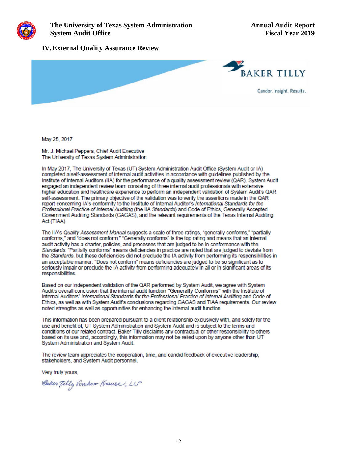

#### **IV.External Quality Assurance Review**



May 25, 2017

Mr. J. Michael Peppers, Chief Audit Executive The University of Texas System Administration

In May 2017. The University of Texas (UT) System Administration Audit Office (System Audit or IA) completed a self-assessment of internal audit activities in accordance with quidelines published by the Institute of Internal Auditors (IIA) for the performance of a quality assessment review (QAR). System Audit engaged an independent review team consisting of three internal audit professionals with extensive higher education and healthcare experience to perform an independent validation of System Audit's QAR self-assessment. The primary objective of the validation was to verify the assertions made in the QAR report concerning IA's conformity to the Institute of Internal Auditor's International Standards for the Professional Practice of Internal Auditing (the IIA Standards) and Code of Ethics, Generally Accepted Government Auditing Standards (GAGAS), and the relevant requirements of the Texas Internal Auditing Act (TIAA).

The IIA's Quality Assessment Manual suggests a scale of three ratings, "generally conforms," "partially conforms," and "does not conform." "Generally conforms" is the top rating and means that an internal audit activity has a charter, policies, and processes that are judged to be in conformance with the Standards. "Partially conforms" means deficiencies in practice are noted that are judged to deviate from the Standards, but these deficiencies did not preclude the IA activity from performing its responsibilities in an acceptable manner. "Does not conform" means deficiencies are judged to be so significant as to seriously impair or preclude the IA activity from performing adequately in all or in significant areas of its responsibilities.

Based on our independent validation of the QAR performed by System Audit, we agree with System Audit's overall conclusion that the internal audit function "Generally Conforms" with the Institute of Internal Auditors' International Standards for the Professional Practice of Internal Auditing and Code of Ethics, as well as with System Audit's conclusions regarding GAGAS and TIAA requirements. Our review noted strengths as well as opportunities for enhancing the internal audit function.

This information has been prepared pursuant to a client relationship exclusively with, and solely for the use and benefit of, UT System Administration and System Audit and is subject to the terms and conditions of our related contract. Baker Tilly disclaims any contractual or other responsibility to others based on its use and, accordingly, this information may not be relied upon by anyone other than UT System Administration and System Audit.

The review team appreciates the cooperation, time, and candid feedback of executive leadership. stakeholders, and System Audit personnel.

Very truly yours,

Caker Tilly Virchow Krause, LLP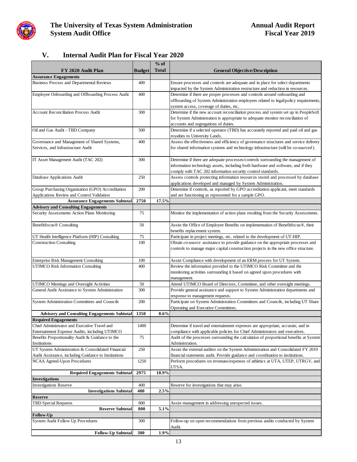

### **V. Internal Audit Plan for Fiscal Year 2020**

|                                                                                     |               | $%$ of       |                                                                                                                                                                         |
|-------------------------------------------------------------------------------------|---------------|--------------|-------------------------------------------------------------------------------------------------------------------------------------------------------------------------|
| FY 2020 Audit Plan                                                                  | <b>Budget</b> | <b>Total</b> | <b>General Objective/Description</b>                                                                                                                                    |
| <b>Assurance Engagements</b>                                                        |               |              |                                                                                                                                                                         |
| <b>Business Process and Departmental Reviews</b>                                    | 400           |              | Ensure processes and controls are adequate and in place for select departments<br>impacted by the System Administration restructure and reduction in resources.         |
| Employee Onboarding and Offboarding Process Audit                                   | 400           |              | Determine if there are proper processes and controls around onboarding and                                                                                              |
|                                                                                     |               |              | offboarding of System Administration employees related to legal/policy requirements,                                                                                    |
|                                                                                     |               |              | system access, coverage of duties, etc.                                                                                                                                 |
| <b>Account Reconciliation Process Audit</b>                                         | 300           |              | Determine if the new account reconciliation process and system set up in PeopleSoft                                                                                     |
|                                                                                     |               |              | for System Administration is appropriate to adequate monitor reconciliation of                                                                                          |
|                                                                                     |               |              | accounts and segregations of duties.                                                                                                                                    |
| Oil and Gas Audit - TBD Company                                                     | 500           |              | Determine if a selected operator (TBD) has accurately reported and paid oil and gas<br>royalties to University Lands.                                                   |
| Governance and Management of Shared Systems,                                        | 400           |              | Assess the effectiveness and efficiency of governance structures and service delivery                                                                                   |
| Services, and Infrastructure Audit                                                  |               |              | for shared information systems and technology infrastructure (will be co-sourced).                                                                                      |
| IT Asset Management Audit (TAC 202)                                                 | 300           |              | Determine if there are adequate processes/controls surrounding the management of                                                                                        |
|                                                                                     |               |              | information technology assets, including both hardware and software, and if they<br>comply with TAC 202 information security control standards.                         |
| Database Applications Audit                                                         | 250           |              | Assess controls protecting information resources stored and processed by database                                                                                       |
|                                                                                     |               |              | applications developed and managed by System Administration.                                                                                                            |
| Group Purchasing Organization (GPO) Accreditation                                   | 200           |              | Determine if controls, as reported by GPO accreditation applicant, meet standards                                                                                       |
| Applications Review and Control Validation                                          |               |              | and are functioning as represented for a sample GPO.                                                                                                                    |
| <b>Assurance Engagements Subtotal</b>                                               | 2750          | 17.5%        |                                                                                                                                                                         |
| <b>Advisory and Consulting Engagements</b>                                          |               |              |                                                                                                                                                                         |
| Security Assessments Action Plans Monitoring                                        | 75            |              | Monitor the implementation of action plans resulting from the Security Assessments.                                                                                     |
| Benefitfocus® Consulting                                                            | 50            |              | Assist the Office of Employee Benefits on implementation of Benefitfocus®, their                                                                                        |
|                                                                                     |               |              | benefits replacement system.                                                                                                                                            |
| UT Health Intelligence Platform (HIP) Consulting                                    | 75            |              | Participate in project meetings, etc. related to the development of UT-HIP.                                                                                             |
| <b>Construction Consulting</b>                                                      | 100           |              | Obtain co-source assistance to provide guidance on the appropriate processes and<br>controls to manage major capital construction projects in the new office structure. |
| Enterprise Risk Management Consulting                                               | 100           |              | Assist Compliance with development of an ERM process for UT System.                                                                                                     |
| <b>UTIMCO Risk Information Consulting</b>                                           | 400           |              | Review the information provided to the UTIMCO Risk Committee and the                                                                                                    |
|                                                                                     |               |              | monitoring activities surrounding it based on agreed upon procedures with<br>management.                                                                                |
| UTIMCO Meetings and Oversight Activities                                            | 50            |              | Attend UTIMCO Board of Directors, Committee, and other oversight meetings.                                                                                              |
| General Audit Assistance to System Administration                                   | 300           |              | Provide general assistance and support to System Administration departments and<br>response to management requests.                                                     |
| System Administration Committees and Councils                                       | 200           |              | Participate on System Administration Committees and Councils, including UT Share                                                                                        |
|                                                                                     |               |              | Operating and Executive Committees.                                                                                                                                     |
| <b>Advisory and Consulting Engagements Subtotal</b>                                 | 1350          | 8.6%         |                                                                                                                                                                         |
| <b>Required Engagements</b>                                                         |               |              |                                                                                                                                                                         |
| Chief Administrator and Executive Travel and                                        | 1400          |              | Determine if travel and entertainment expenses are appropriate, accurate, and in                                                                                        |
| Entertainment Expense Audits, including UTIMCO                                      |               |              | compliance with applicable policies for Chief Administrators and executives.                                                                                            |
| Benefits Proportionality Audit & Guidance to the                                    | 75            |              | Audit of the processes surrounding the calculation of proportional benefits at System                                                                                   |
| Institutions                                                                        |               |              | Administration.                                                                                                                                                         |
| UT System Administration & Consolidated Financial                                   | 250           |              | Assist the external auditor on the System Administration and Consolidated FY 2019                                                                                       |
| Audit Assistance, including Guidance to Institutions<br>NCAA Agreed-Upon Procedures | 1250          |              | financial statements audit. Provide guidance and coordination to institutions.<br>Perform procedures on revenues/expenses of athletics at UTA, UTEP, UTRGV, and         |
|                                                                                     |               |              | UTSA.                                                                                                                                                                   |
| <b>Required Engagements Subtotal</b>                                                | 2975          | 18.9%        |                                                                                                                                                                         |
| <b>Investigations</b>                                                               |               |              |                                                                                                                                                                         |
| <b>Investigations Reserve</b>                                                       | 400           |              | Reserve for investigations that may arise.                                                                                                                              |
| <b>Investigations Subtotal</b>                                                      | 400           | 2.5%         |                                                                                                                                                                         |
| <b>Reserve</b>                                                                      |               |              | Assist management in addressing unexpected issues.                                                                                                                      |
| <b>TBD Special Requests</b><br><b>Reserve Subtotal</b>                              | 800<br>800    | 5.1%         |                                                                                                                                                                         |
| <b>Follow-Up</b>                                                                    |               |              |                                                                                                                                                                         |
| System Audit Follow Up Procedures                                                   | 300           |              | Follow-up on open recommendations from previous audits conducted by System                                                                                              |
|                                                                                     |               |              | Audit.                                                                                                                                                                  |
| <b>Follow-Up Subtotal</b>                                                           | 300           | 1.9%         |                                                                                                                                                                         |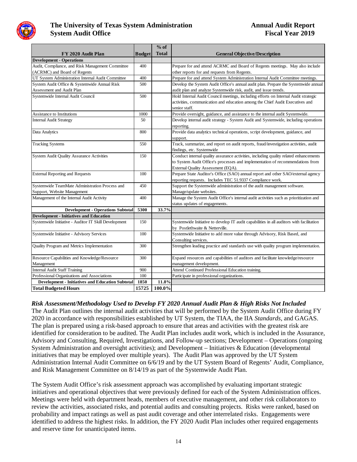

|                                                         |               | $%$ of       |                                                                                          |
|---------------------------------------------------------|---------------|--------------|------------------------------------------------------------------------------------------|
| FY 2020 Audit Plan                                      | <b>Budget</b> | <b>Total</b> | <b>General Objective/Description</b>                                                     |
| <b>Development - Operations</b>                         |               |              |                                                                                          |
| Audit, Compliance, and Risk Management Committee        | 400           |              | Prepare for and attend ACRMC and Board of Regents meetings. May also include             |
| (ACRMC) and Board of Regents                            |               |              | other reports for and requests from Regents.                                             |
| UT System Administration Internal Audit Committee       | 400           |              | Prepare for and attend System Administration Internal Audit Committee meetings.          |
| System Audit Office & Systemwide Annual Risk            | 500           |              | Develop the System Audit Office's annual audit plan. Prepare the Systemwide annual       |
| Assessment and Audit Plan                               |               |              | audit plan and analyze Systemwide risk, audit, and issue trends.                         |
| Systemwide Internal Audit Council                       | 500           |              | Hold Internal Audit Council meetings, including efforts on Internal Audit strategic      |
|                                                         |               |              | activities, communication and education among the Chief Audit Executives and             |
|                                                         |               |              | senior staff.                                                                            |
| Assistance to Institutions                              | 1000          |              | Provide oversight, guidance, and assistance to the internal audit Systemwide.            |
| <b>Internal Audit Strategy</b>                          | 50            |              | Develop internal audit strategy - System Audit and Systemwide, including operations      |
|                                                         |               |              | reporting.                                                                               |
| Data Analytics                                          | 800           |              | Provide data analytics technical operations, script development, guidance, and           |
|                                                         |               |              | support.                                                                                 |
| <b>Tracking Systems</b>                                 | 550           |              | Track, summarize, and report on audit reports, fraud/investigation activities, audit     |
|                                                         |               |              | findings, etc. Systemwide                                                                |
| <b>System Audit Quality Assurance Activities</b>        | 150           |              | Conduct internal quality assurance activities, including quality related enhancements    |
|                                                         |               |              | to System Audit Office's processes and implementation of recommendations from            |
|                                                         |               |              | External Quality Assessment (EQA).                                                       |
| <b>External Reporting and Requests</b>                  | 100           |              | Prepare State Auditor's Office (SAO) annual report and other SAO/external agency         |
|                                                         |               |              | reporting requests. Includes TEC 51.9337 Compliance work.                                |
| Systemwide TeamMate Administration Process and          | 450           |              | Support the Systemwide administration of the audit management software.                  |
| Support, Website Management                             |               |              | Manage/update websites.                                                                  |
| Management of the Internal Audit Activity               | 400           |              | Manage the System Audit Office's internal audit activities such as prioritization and    |
|                                                         |               |              | status updates of engagements.                                                           |
| <b>Development - Operations Subtotal</b>                | 5300          | 33.7%        |                                                                                          |
| <b>Development - Initiatives and Education</b>          |               |              |                                                                                          |
| Systemwide Initiative - Auditor IT Skill Development    | 150           |              | Systemwide Initiative to develop IT audit capabilities in all auditors with facilitation |
|                                                         |               |              | by Postlethwaite & Netterville.                                                          |
| Systemwide Initiative - Advisory Services               | 100           |              | Systemwide Initiative to add more value through Advisory, Risk Based, and                |
|                                                         |               |              | Consulting services.                                                                     |
| Quality Program and Metrics Implementation              | 300           |              | Strengthen leading practice and standards use with quality program implementation.       |
| Resource Capabilities and Knowledge/Resource            | 300           |              | Expand resources and capabilities of auditors and facilitate knowledge/resource          |
| Management                                              |               |              | management development.                                                                  |
| <b>Internal Audit Staff Training</b>                    | 900           |              | Attend Continued Professional Education training.                                        |
| Professional Organizations and Associations             | 100           |              | Participate in professional organizations.                                               |
| <b>Development - Initiatives and Education Subtotal</b> | 1850          | 11.8%        |                                                                                          |
| <b>Total Budgeted Hours</b>                             | 15725         | 100.0%       |                                                                                          |

# *Risk Assessment/Methodology Used to Develop FY 2020 Annual Audit Plan & High Risks Not Included*

The Audit Plan outlines the internal audit activities that will be performed by the System Audit Office during FY 2020 in accordance with responsibilities established by UT System, the TIAA, the IIA *Standards*, and GAGAS. The plan is prepared using a risk-based approach to ensure that areas and activities with the greatest risk are identified for consideration to be audited. The Audit Plan includes audit work, which is included in the Assurance, Advisory and Consulting, Required, Investigations, and Follow-up sections; Development – Operations (ongoing System Administration and oversight activities); and Development – Initiatives & Education (developmental initiatives that may be employed over multiple years). The Audit Plan was approved by the UT System Administration Internal Audit Committee on 6/6/19 and by the UT System Board of Regents' Audit, Compliance, and Risk Management Committee on 8/14/19 as part of the Systemwide Audit Plan.

The System Audit Office's risk assessment approach was accomplished by evaluating important strategic initiatives and operational objectives that were previously defined for each of the System Administration offices. Meetings were held with department heads, members of executive management, and other risk collaborators to review the activities, associated risks, and potential audits and consulting projects. Risks were ranked, based on probability and impact ratings as well as past audit coverage and other interrelated risks. Engagements were identified to address the highest risks. In addition, the FY 2020 Audit Plan includes other required engagements and reserve time for unanticipated items.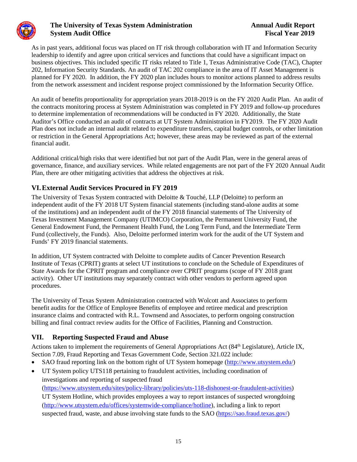

As in past years, additional focus was placed on IT risk through collaboration with IT and Information Security leadership to identify and agree upon critical services and functions that could have a significant impact on business objectives. This included specific IT risks related to Title 1, Texas Administrative Code (TAC), Chapter 202, Information Security Standards. An audit of TAC 202 compliance in the area of IT Asset Management is planned for FY 2020. In addition, the FY 2020 plan includes hours to monitor actions planned to address results from the network assessment and incident response project commissioned by the Information Security Office.

An audit of benefits proportionality for appropriation years 2018-2019 is on the FY 2020 Audit Plan. An audit of the contracts monitoring process at System Administration was completed in FY 2019 and follow-up procedures to determine implementation of recommendations will be conducted in FY 2020. Additionally, the State Auditor's Office conducted an audit of contracts at UT System Administration in FY2019. The FY 2020 Audit Plan does not include an internal audit related to expenditure transfers, capital budget controls, or other limitation or restriction in the General Appropriations Act; however, these areas may be reviewed as part of the external financial audit.

Additional critical/high risks that were identified but not part of the Audit Plan, were in the general areas of governance, finance, and auxiliary services. While related engagements are not part of the FY 2020 Annual Audit Plan, there are other mitigating activities that address the objectives at risk.

### **VI.External Audit Services Procured in FY 2019**

The University of Texas System contracted with Deloitte & Touché, LLP (Deloitte) to perform an independent audit of the FY 2018 UT System financial statements (including stand-alone audits at some of the institutions) and an independent audit of the FY 2018 financial statements of The University of Texas Investment Management Company (UTIMCO) Corporation, the Permanent University Fund, the General Endowment Fund, the Permanent Health Fund, the Long Term Fund, and the Intermediate Term Fund (collectively, the Funds). Also, Deloitte performed interim work for the audit of the UT System and Funds' FY 2019 financial statements.

In addition, UT System contracted with Deloitte to complete audits of Cancer Prevention Research Institute of Texas (CPRIT) grants at select UT institutions to conclude on the Schedule of Expenditures of State Awards for the CPRIT program and compliance over CPRIT programs (scope of FY 2018 grant activity). Other UT institutions may separately contract with other vendors to perform agreed upon procedures.

The University of Texas System Administration contracted with Wolcott and Associates to perform benefit audits for the Office of Employee Benefits of employee and retiree medical and prescription insurance claims and contracted with R.L. Townsend and Associates, to perform ongoing construction billing and final contract review audits for the Office of Facilities, Planning and Construction.

### **VII. Reporting Suspected Fraud and Abuse**

Actions taken to implement the requirements of General Appropriations Act (84<sup>th</sup> Legislature), Article IX, Section 7.09, Fraud Reporting and Texas Government Code, Section 321.022 include:

- SAO fraud reporting link on the bottom right of UT System homepage [\(http://www.utsystem.edu/\)](http://www.utsystem.edu/)
- UT System policy UTS118 pertaining to fraudulent activities, including coordination of investigations and reporting of suspected fraud

[\(https://www.utsystem.edu/sites/policy-library/policies/uts-118-dishonest-or-fraudulent-activities\)](https://www.utsystem.edu/sites/policy-library/policies/uts-118-dishonest-or-fraudulent-activities) UT System Hotline, which provides employees a way to report instances of suspected wrongdoing [\(http://www.utsystem.edu/offices/systemwide-compliance/hotline\)](http://www.utsystem.edu/offices/systemwide-compliance/hotline), including a link to report suspected fraud, waste, and abuse involving state funds to the SAO [\(https://sao.fraud.texas.gov/\)](https://sao.fraud.texas.gov/)